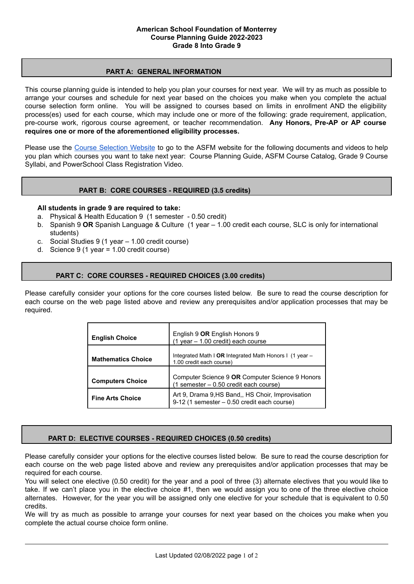## **PART A: GENERAL INFORMATION**

This course planning guide is intended to help you plan your courses for next year. We will try as much as possible to arrange your courses and schedule for next year based on the choices you make when you complete the actual course selection form online. You will be assigned to courses based on limits in enrollment AND the eligibility process(es) used for each course, which may include one or more of the following: grade requirement, application, pre-course work, rigorous course agreement, or teacher recommendation. **Any Honors, Pre-AP or AP course requires one or more of the aforementioned eligibility processes.**

Please use the Course [Selection](https://www.asfm.edu.mx/academics/resources/mshscourseselection) Website to go to the ASFM website for the following documents and videos to help you plan which courses you want to take next year: Course Planning Guide, ASFM Course Catalog, Grade 9 Course Syllabi, and PowerSchool Class Registration Video.

# **PART B: CORE COURSES - REQUIRED (3.5 credits)**

#### **All students in grade 9 are required to take:**

- a. Physical & Health Education 9 (1 semester 0.50 credit)
- b. Spanish 9 **OR** Spanish Language & Culture (1 year 1.00 credit each course, SLC is only for international students)
- c. Social Studies 9 (1 year 1.00 credit course)
- d. Science 9 (1 year = 1.00 credit course)

# **PART C: CORE COURSES - REQUIRED CHOICES (3.00 credits)**

Please carefully consider your options for the core courses listed below. Be sure to read the course description for each course on the web page listed above and review any prerequisites and/or application processes that may be required.

| <b>English Choice</b>     | English 9 OR English Honors 9<br>$(1$ year $- 1.00$ credit) each course                         |  |  |
|---------------------------|-------------------------------------------------------------------------------------------------|--|--|
| <b>Mathematics Choice</b> | Integrated Math I OR Integrated Math Honors I (1 year $-$<br>1.00 credit each course)           |  |  |
| <b>Computers Choice</b>   | Computer Science 9 OR Computer Science 9 Honors<br>(1 semester - 0.50 credit each course)       |  |  |
| <b>Fine Arts Choice</b>   | Art 9, Drama 9, HS Band, HS Choir, Improvisation<br>9-12 (1 semester - 0.50 credit each course) |  |  |

# **PART D: ELECTIVE COURSES - REQUIRED CHOICES (0.50 credits)**

Please carefully consider your options for the elective courses listed below. Be sure to read the course description for each course on the web page listed above and review any prerequisites and/or application processes that may be required for each course.

You will select one elective (0.50 credit) for the year and a pool of three (3) alternate electives that you would like to take. If we can't place you in the elective choice #1, then we would assign you to one of the three elective choice alternates. However, for the year you will be assigned only one elective for your schedule that is equivalent to 0.50 credits.

We will try as much as possible to arrange your courses for next year based on the choices you make when you complete the actual course choice form online.